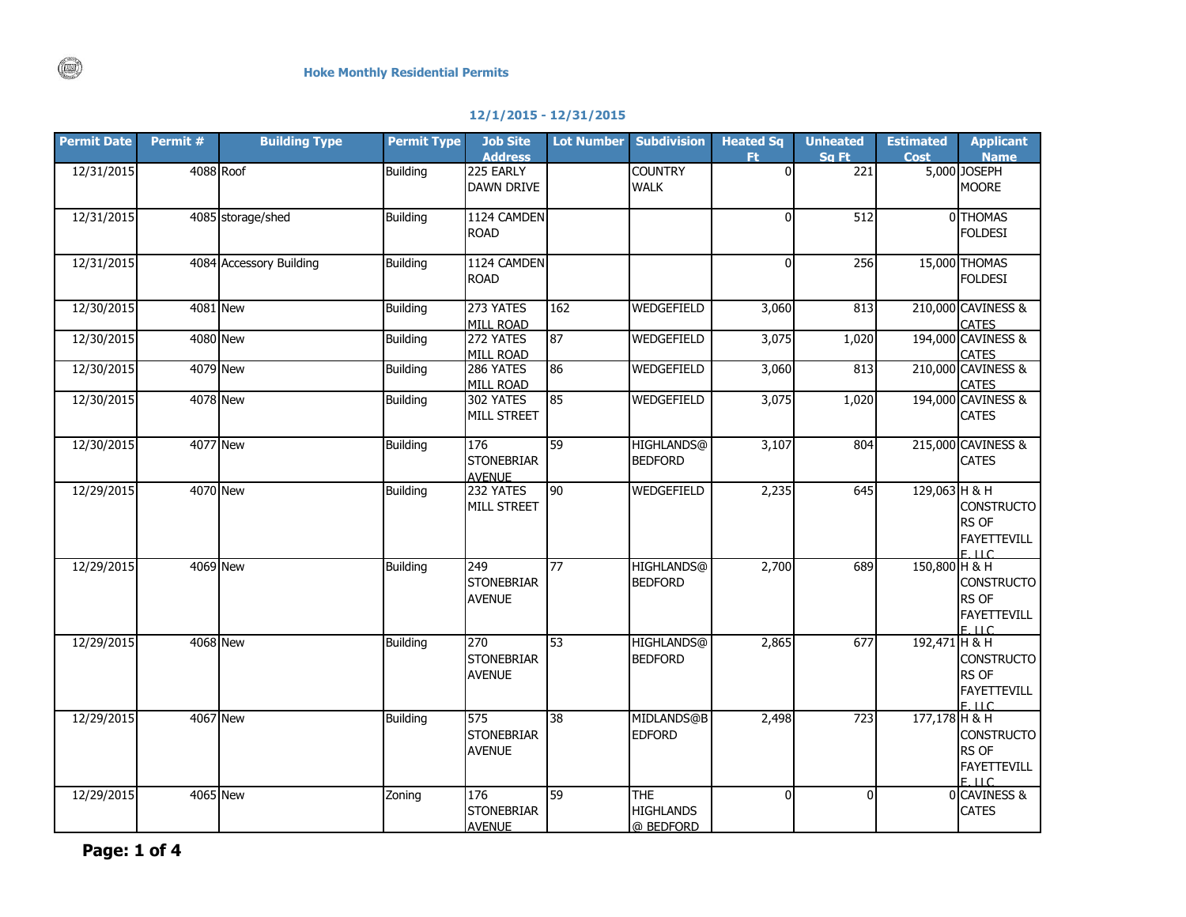## **12/1/2015 - 12/31/2015**

| <b>Permit Date</b> | Permit # | <b>Building Type</b>    | <b>Permit Type</b> | <b>Job Site</b>                           | <b>Lot Number</b>      | <b>Subdivision</b>                          | <b>Heated Sq</b> | <b>Unheated</b> | <b>Estimated</b> | <b>Applicant</b>                                               |
|--------------------|----------|-------------------------|--------------------|-------------------------------------------|------------------------|---------------------------------------------|------------------|-----------------|------------------|----------------------------------------------------------------|
| 12/31/2015         |          | 4088 Roof               | <b>Building</b>    | <b>Address</b><br>225 EARLY<br>DAWN DRIVE |                        | <b>COUNTRY</b><br><b>WALK</b>               | Ft.<br>$\Omega$  | Sq Ft<br>221    | Cost             | <b>Name</b><br>5,000 JOSEPH<br><b>MOORE</b>                    |
| 12/31/2015         |          | 4085 storage/shed       | <b>Building</b>    | 1124 CAMDEN<br><b>ROAD</b>                |                        |                                             | $\Omega$         | 512             |                  | 0 THOMAS<br><b>FOLDESI</b>                                     |
| 12/31/2015         |          | 4084 Accessory Building | <b>Building</b>    | 1124 CAMDEN<br><b>ROAD</b>                |                        |                                             | $\Omega$         | 256             |                  | 15,000 THOMAS<br><b>FOLDESI</b>                                |
| 12/30/2015         |          | 4081 New                | <b>Building</b>    | 273 YATES<br>MILL ROAD                    | 162                    | WEDGEFIELD                                  | 3,060            | 813             |                  | 210,000 CAVINESS &<br><b>CATES</b>                             |
| 12/30/2015         |          | <b>4080 New</b>         | <b>Building</b>    | 272 YATES<br>MILL ROAD                    | 87                     | WEDGEFIELD                                  | 3,075            | 1,020           |                  | 194,000 CAVINESS &<br><b>CATES</b>                             |
| 12/30/2015         |          | 4079 New                | <b>Building</b>    | 286 YATES<br>MILL ROAD                    | 86                     | <b>WEDGEFIELD</b>                           | 3,060            | 813             |                  | 210,000 CAVINESS &<br><b>CATES</b>                             |
| 12/30/2015         |          | <b>4078 New</b>         | <b>Building</b>    | 302 YATES<br>MILL STREET                  | 85                     | <b>WEDGEFIELD</b>                           | 3,075            | 1,020           |                  | 194,000 CAVINESS &<br><b>CATES</b>                             |
| 12/30/2015         |          | <b>4077 New</b>         | <b>Building</b>    | 176<br><b>STONEBRIAR</b><br><b>AVENUE</b> | 59                     | <b>HIGHLANDS@</b><br><b>BEDFORD</b>         | 3,107            | 804             |                  | 215,000 CAVINESS &<br><b>CATES</b>                             |
| 12/29/2015         |          | 4070 New                | <b>Building</b>    | 232 YATES<br><b>MILL STREET</b>           | 90                     | <b>WEDGEFIELD</b>                           | 2,235            | 645             | 129,063 H & H    | <b>CONSTRUCTO</b><br>RS OF<br><b>FAYETTEVILL</b><br>$F$ IIC    |
| 12/29/2015         |          | <b>4069 New</b>         | <b>Building</b>    | 249<br><b>STONEBRIAR</b><br><b>AVENUE</b> | 77                     | HIGHLANDS@<br><b>BEDFORD</b>                | 2,700            | 689             | 150,800 H & H    | <b>CONSTRUCTO</b><br>RS OF<br><b>FAYETTEVILL</b><br>F.H.C.     |
| 12/29/2015         |          | 4068 New                | <b>Building</b>    | 270<br><b>STONEBRIAR</b><br><b>AVENUE</b> | 53                     | <b>HIGHLANDS@</b><br><b>BEDFORD</b>         | 2,865            | 677             | 192,471 H & H    | <b>CONSTRUCTO</b><br>RS OF<br><b>FAYETTEVILL</b><br>$E$ LLC    |
| 12/29/2015         |          | <b>4067 New</b>         | <b>Building</b>    | 575<br><b>STONEBRIAR</b><br><b>AVENUE</b> | $\overline{\text{38}}$ | MIDLANDS@B<br><b>EDFORD</b>                 | 2,498            | 723             | 177,178 H & H    | <b>CONSTRUCTO</b><br>RS OF<br><b>FAYETTEVILL</b><br>$F \cup C$ |
| 12/29/2015         |          | <b>4065 New</b>         | Zoning             | 176<br><b>STONEBRIAR</b><br><b>AVENUE</b> | 59                     | <b>THE</b><br><b>HIGHLANDS</b><br>@ BEDFORD | $\Omega$         | $\Omega$        |                  | 0 CAVINESS &<br><b>CATES</b>                                   |

 $(\mathbb{C})$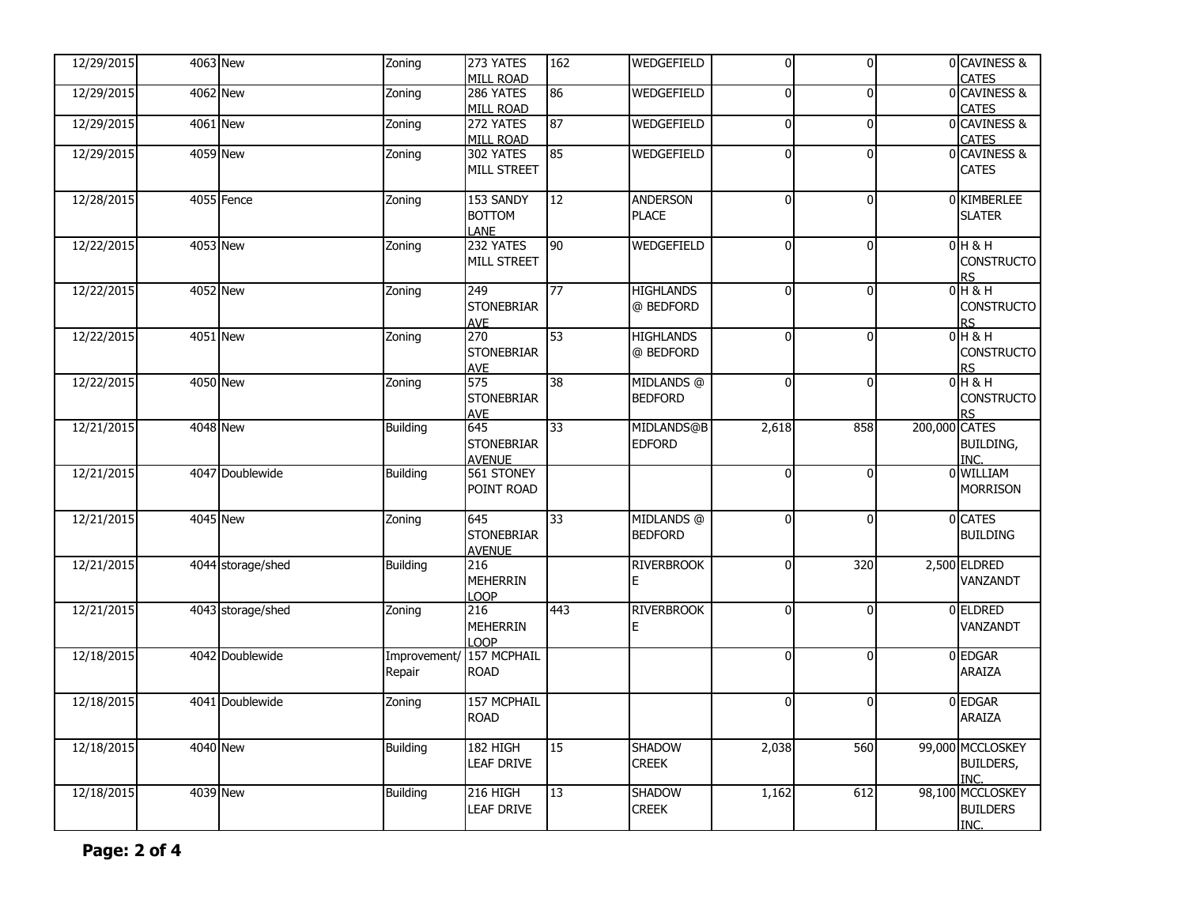| 12/29/2015 | 4063 New          | Zoning                | 273 YATES<br><b>MILL ROAD</b>             | 162 | WEDGEFIELD                      | $\overline{0}$ | οI             |               | 0 CAVINESS &<br><b>CATES</b>                 |
|------------|-------------------|-----------------------|-------------------------------------------|-----|---------------------------------|----------------|----------------|---------------|----------------------------------------------|
| 12/29/2015 | 4062 New          | Zoning                | 286 YATES<br><b>MILL ROAD</b>             | 86  | WEDGEFIELD                      | $\overline{0}$ | $\overline{0}$ |               | 0 CAVINESS &<br><b>CATES</b>                 |
| 12/29/2015 | 4061 New          | Zoning                | 272 YATES<br><b>MILL ROAD</b>             | 87  | WEDGEFIELD                      | $\mathbf 0$    | $\overline{0}$ |               | 0 CAVINESS &<br><b>CATES</b>                 |
| 12/29/2015 | <b>4059 New</b>   | Zoning                | 302 YATES<br>MILL STREET                  | 85  | WEDGEFIELD                      | $\Omega$       | $\overline{0}$ |               | 0 CAVINESS &<br>CATES                        |
| 12/28/2015 | 4055 Fence        | Zoning                | 153 SANDY<br><b>BOTTOM</b><br>LANE        | 12  | <b>ANDERSON</b><br><b>PLACE</b> | $\mathbf 0$    | $\overline{0}$ |               | 0 KIMBERLEE<br><b>SLATER</b>                 |
| 12/22/2015 | <b>4053 New</b>   | Zoning                | 232 YATES<br>MILL STREET                  | 90  | WEDGEFIELD                      | $\Omega$       | $\overline{0}$ |               | $0H$ & H<br><b>CONSTRUCTO</b><br><b>RS</b>   |
| 12/22/2015 | 4052 New          | Zoning                | 249<br><b>STONEBRIAR</b><br>AVE           | 77  | <b>HIGHLANDS</b><br>@ BEDFORD   | $\Omega$       | $\Omega$       |               | $0H$ & H<br><b>CONSTRUCTO</b><br>R۲          |
| 12/22/2015 | 4051 New          | Zoning                | 270<br><b>STONEBRIAR</b><br><b>AVE</b>    | 53  | <b>HIGHLANDS</b><br>@ BEDFORD   | $\Omega$       | $\overline{0}$ |               | $0H$ & H<br><b>CONSTRUCTO</b><br>RS          |
| 12/22/2015 | <b>4050 New</b>   | Zoning                | 575<br><b>STONEBRIAR</b><br><b>AVE</b>    | 38  | MIDLANDS @<br><b>BEDFORD</b>    | $\Omega$       | $\overline{0}$ |               | $0H$ & H<br><b>CONSTRUCTO</b><br><b>RS</b>   |
| 12/21/2015 | 4048 New          | <b>Building</b>       | 645<br><b>STONEBRIAR</b><br><b>AVENUE</b> | 33  | MIDLANDS@B<br><b>EDFORD</b>     | 2,618          | 858            | 200,000 CATES | <b>BUILDING,</b><br>INC.                     |
| 12/21/2015 | 4047 Doublewide   | <b>Building</b>       | 561 STONEY<br>POINT ROAD                  |     |                                 | $\Omega$       | $\overline{0}$ |               | 0 WILLIAM<br><b>MORRISON</b>                 |
| 12/21/2015 | 4045 New          | Zoning                | 645<br><b>STONEBRIAR</b><br><b>AVENUE</b> | 33  | MIDLANDS @<br><b>BEDFORD</b>    | $\Omega$       | $\mathbf{0}$   |               | 0 CATES<br><b>BUILDING</b>                   |
| 12/21/2015 | 4044 storage/shed | <b>Building</b>       | $\overline{216}$<br>MEHERRIN<br>LOOP      |     | <b>RIVERBROOK</b><br>E          | $\Omega$       | 320            |               | 2,500 ELDRED<br>VANZANDT                     |
| 12/21/2015 | 4043 storage/shed | Zoning                | 216<br><b>MEHERRIN</b><br><b>LOOP</b>     | 443 | <b>RIVERBROOK</b>               | $\Omega$       | $\overline{0}$ |               | 0 ELDRED<br>VANZANDT                         |
| 12/18/2015 | 4042 Doublewide   | Improvement<br>Repair | 157 MCPHAIL<br>ROAD                       |     |                                 | $\Omega$       | $\mathbf{0}$   |               | 0 EDGAR<br>araiza                            |
| 12/18/2015 | 4041 Doublewide   | Zoning                | 157 MCPHAIL<br><b>ROAD</b>                |     |                                 | $\mathbf{0}$   | $\overline{0}$ |               | 0 EDGAR<br>ARAIZA                            |
| 12/18/2015 | 4040 New          | <b>Building</b>       | 182 HIGH<br><b>LEAF DRIVE</b>             | 15  | <b>SHADOW</b><br><b>CREEK</b>   | 2,038          | 560            |               | 99,000 MCCLOSKEY<br><b>BUILDERS,</b><br>INC. |
| 12/18/2015 | 4039 New          | <b>Building</b>       | 216 HIGH<br><b>LEAF DRIVE</b>             | 13  | <b>SHADOW</b><br><b>CREEK</b>   | 1,162          | 612            |               | 98,100 MCCLOSKEY<br><b>BUILDERS</b><br>INC.  |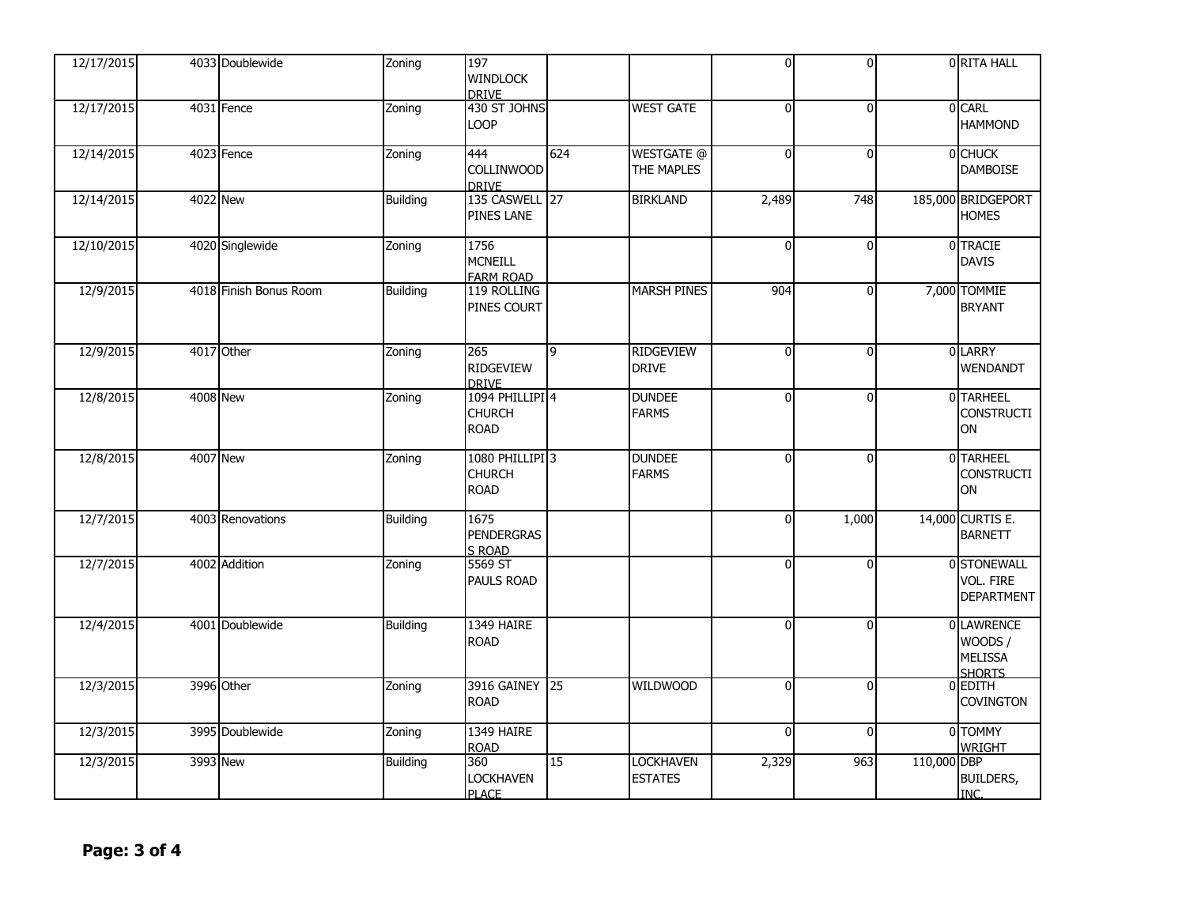| 12/17/2015 | 4033 Doublewide        | Zoning          | 197<br><b>WINDLOCK</b>                                     |     |                                        | O        | $\Omega$     |             | 0 RITA HALL                                             |
|------------|------------------------|-----------------|------------------------------------------------------------|-----|----------------------------------------|----------|--------------|-------------|---------------------------------------------------------|
|            |                        |                 | <b>DRIVE</b>                                               |     |                                        |          |              |             |                                                         |
| 12/17/2015 | 4031 Fence             | Zoning          | 430 ST JOHNS<br>LOOP                                       |     | <b>WEST GATE</b>                       | $\Omega$ | $\Omega$     |             | 0 CARL<br><b>HAMMOND</b>                                |
| 12/14/2015 | 4023 Fence             | Zoning          | 444<br><b>COLLINWOOD</b><br><b>DRIVE</b>                   | 624 | <b>WESTGATE</b> @<br><b>THE MAPLES</b> | $\Omega$ | $\Omega$     |             | 0 CHUCK<br><b>DAMBOISE</b>                              |
| 12/14/2015 | <b>4022 New</b>        | <b>Building</b> | 135 CASWELL 27<br><b>PINES LANE</b>                        |     | <b>BIRKLAND</b>                        | 2,489    | 748          |             | 185,000 BRIDGEPORT<br><b>HOMES</b>                      |
| 12/10/2015 | 4020 Singlewide        | Zoning          | 1756<br><b>MCNEILL</b><br><b>FARM ROAD</b>                 |     |                                        | $\Omega$ | $\Omega$     |             | 0 TRACIE<br><b>DAVIS</b>                                |
| 12/9/2015  | 4018 Finish Bonus Room | <b>Building</b> | 119 ROLLING<br>PINES COURT                                 |     | <b>MARSH PINES</b>                     | 904      | $\Omega$     |             | 7,000 TOMMIE<br><b>BRYANT</b>                           |
| 12/9/2015  | 4017 Other             | Zoning          | 265<br><b>RIDGEVIEW</b><br><b>DRIVE</b>                    | 9   | <b>RIDGEVIEW</b><br><b>DRIVE</b>       | $\Omega$ | $\mathbf{0}$ |             | 0 LARRY<br>WENDANDT                                     |
| 12/8/2015  | <b>4008 New</b>        | Zoning          | 1094 PHILLIPI <sup>4</sup><br><b>CHURCH</b><br><b>ROAD</b> |     | <b>DUNDEE</b><br><b>FARMS</b>          | $\Omega$ | $\Omega$     |             | 0 TARHEEL<br><b>CONSTRUCTI</b><br>ON                    |
| 12/8/2015  | <b>4007 New</b>        | Zoning          | 1080 PHILLIPI 3<br><b>CHURCH</b><br><b>ROAD</b>            |     | <b>DUNDEE</b><br><b>FARMS</b>          | $\Omega$ | $\Omega$     |             | 0 TARHEEL<br><b>CONSTRUCTI</b><br>ON                    |
| 12/7/2015  | 4003 Renovations       | <b>Building</b> | 1675<br><b>PENDERGRAS</b><br>S ROAD                        |     |                                        | U        | 1,000        |             | 14,000 CURTIS E.<br><b>BARNETT</b>                      |
| 12/7/2015  | 4002 Addition          | Zoning          | 5569 ST<br><b>PAULS ROAD</b>                               |     |                                        | $\Omega$ | $\Omega$     |             | 0 STONEWALL<br>VOL. FIRE<br><b>DEPARTMENT</b>           |
| 12/4/2015  | 4001 Doublewide        | <b>Building</b> | 1349 HAIRE<br><b>ROAD</b>                                  |     |                                        | $\Omega$ | $\Omega$     |             | 0 LAWRENCE<br>WOODS/<br><b>MELISSA</b><br><b>SHORTS</b> |
| 12/3/2015  | 3996 Other             | Zoning          | 3916 GAINEY 25<br><b>ROAD</b>                              |     | <b>WILDWOOD</b>                        | $\Omega$ | $\Omega$     |             | $0$ EDITH<br><b>COVINGTON</b>                           |
| 12/3/2015  | 3995 Doublewide        | Zoning          | 1349 HAIRE<br><b>ROAD</b>                                  |     |                                        | $\Omega$ | $\Omega$     |             | 0 TOMMY<br><b>WRIGHT</b>                                |
| 12/3/2015  | 3993 New               | <b>Building</b> | 360<br><b>LOCKHAVEN</b><br><b>PLACE</b>                    | 15  | <b>LOCKHAVEN</b><br><b>ESTATES</b>     | 2,329    | 963          | 110,000 DBP | <b>BUILDERS,</b><br>INC.                                |